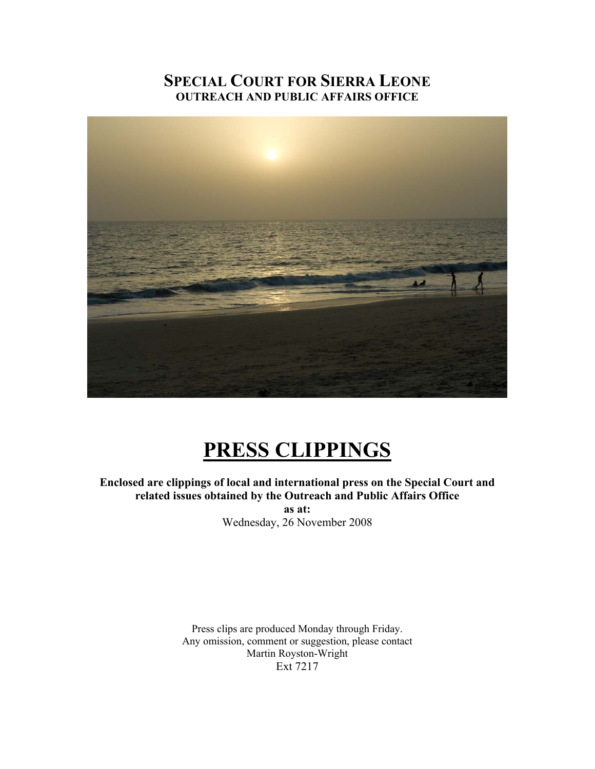#### **SPECIAL COURT FOR SIERRA LEONE OUTREACH AND PUBLIC AFFAIRS OFFICE**



## **PRESS CLIPPINGS**

#### **Enclosed are clippings of local and international press on the Special Court and related issues obtained by the Outreach and Public Affairs Office as at:**

Wednesday, 26 November 2008

Press clips are produced Monday through Friday. Any omission, comment or suggestion, please contact Martin Royston-Wright Ext 7217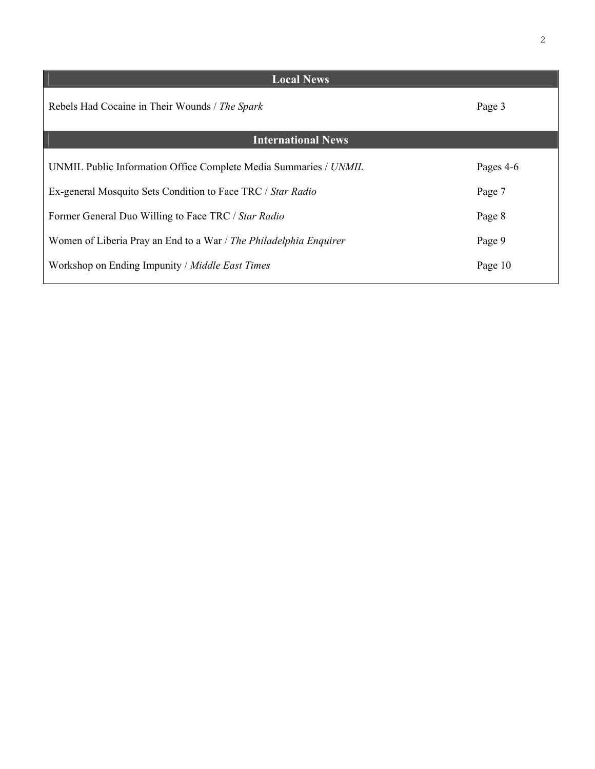| <b>Local News</b>                                                 |           |
|-------------------------------------------------------------------|-----------|
| Rebels Had Cocaine in Their Wounds / The Spark                    | Page 3    |
| <b>International News</b>                                         |           |
|                                                                   |           |
| UNMIL Public Information Office Complete Media Summaries / UNMIL  | Pages 4-6 |
| Ex-general Mosquito Sets Condition to Face TRC / Star Radio       | Page 7    |
|                                                                   |           |
| Former General Duo Willing to Face TRC / Star Radio               | Page 8    |
| Women of Liberia Pray an End to a War / The Philadelphia Enquirer | Page 9    |
|                                                                   |           |
| Workshop on Ending Impunity / Middle East Times                   | Page 10   |
|                                                                   |           |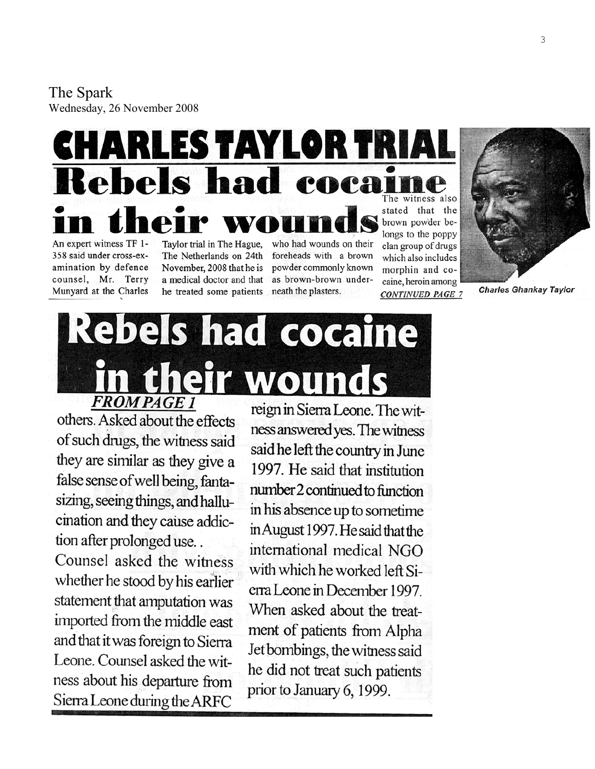The Spark Wednesday, 26 Nove mber 2008

# CHARLES TAYLOR TRI Rebels had coca

An expert witness TF 1-358 said under cross-examination by defence counsel, Mr. Terry Munyard at the Charles

Taylor trial in The Hague, The Netherlands on 24th November, 2008 that he is a medical doctor and that he treated some patients

who had wounds on their foreheads with a brown powder commonly known as brown-brown underneath the plasters.

The witness also stated that the brown powder belongs to the poppy clan group of drugs which also includes morphin and cocaine, heroin among **CONTINUED PAGE 7** 



**Charles Ghankay Taylor** 

# Rebels had cocaine their wor **FROM PAGE 1**

others. Asked about the effects of such drugs, the witness said they are similar as they give a false sense of well being, fantasizing, seeing things, and hallucination and they cause addiction after prolonged use...

Counsel asked the witness whether he stood by his earlier statement that amputation was imported from the middle east and that it was foreign to Sierra Leone. Counsel asked the witness about his departure from Sierra Leone during the ARFC

reign in Sierra Leone. The witness answered yes. The witness said he left the country in June 1997. He said that institution number 2 continued to function in his absence up to sometime in August 1997. He said that the international medical NGO with which he worked left Sierra Leone in December 1997. When asked about the treatment of patients from Alpha Jet bombings, the witness said he did not treat such patients prior to January 6, 1999.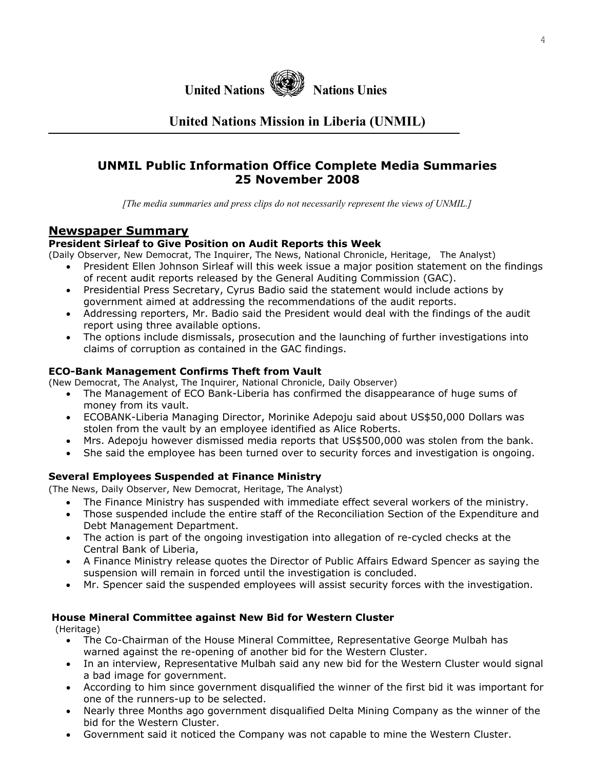#### **UNMIL Public Information Office Complete Media Summaries 25 November 2008**

*[The media summaries and press clips do not necessarily represent the views of UNMIL.]*

#### **Newspaper Summary**

#### **President Sirleaf to Give Position on Audit Reports this Week**

(Daily Observer, New Democrat, The Inquirer, The News, National Chronicle, Heritage, The Analyst)

- President Ellen Johnson Sirleaf will this week issue a major position statement on the findings of recent audit reports released by the General Auditing Commission (GAC).
- Presidential Press Secretary, Cyrus Badio said the statement would include actions by government aimed at addressing the recommendations of the audit reports.
- Addressing reporters, Mr. Badio said the President would deal with the findings of the audit report using three available options.
- The options include dismissals, prosecution and the launching of further investigations into claims of corruption as contained in the GAC findings.

#### **ECO-Bank Management Confirms Theft from Vault**

(New Democrat, The Analyst, The Inquirer, National Chronicle, Daily Observer)

- The Management of ECO Bank-Liberia has confirmed the disappearance of huge sums of money from its vault.
- ECOBANK-Liberia Managing Director, Morinike Adepoju said about US\$50,000 Dollars was stolen from the vault by an employee identified as Alice Roberts.
- Mrs. Adepoju however dismissed media reports that US\$500,000 was stolen from the bank.
- She said the employee has been turned over to security forces and investigation is ongoing.

#### **Several Employees Suspended at Finance Ministry**

(The News, Daily Observer, New Democrat, Heritage, The Analyst)

- The Finance Ministry has suspended with immediate effect several workers of the ministry.
- Those suspended include the entire staff of the Reconciliation Section of the Expenditure and Debt Management Department.
- The action is part of the ongoing investigation into allegation of re-cycled checks at the Central Bank of Liberia,
- A Finance Ministry release quotes the Director of Public Affairs Edward Spencer as saying the suspension will remain in forced until the investigation is concluded.
- Mr. Spencer said the suspended employees will assist security forces with the investigation.

#### **House Mineral Committee against New Bid for Western Cluster**

(Heritage)

- The Co-Chairman of the House Mineral Committee, Representative George Mulbah has warned against the re-opening of another bid for the Western Cluster.
- In an interview, Representative Mulbah said any new bid for the Western Cluster would signal a bad image for government.
- According to him since government disqualified the winner of the first bid it was important for one of the runners-up to be selected.
- Nearly three Months ago government disqualified Delta Mining Company as the winner of the bid for the Western Cluster.
- Government said it noticed the Company was not capable to mine the Western Cluster.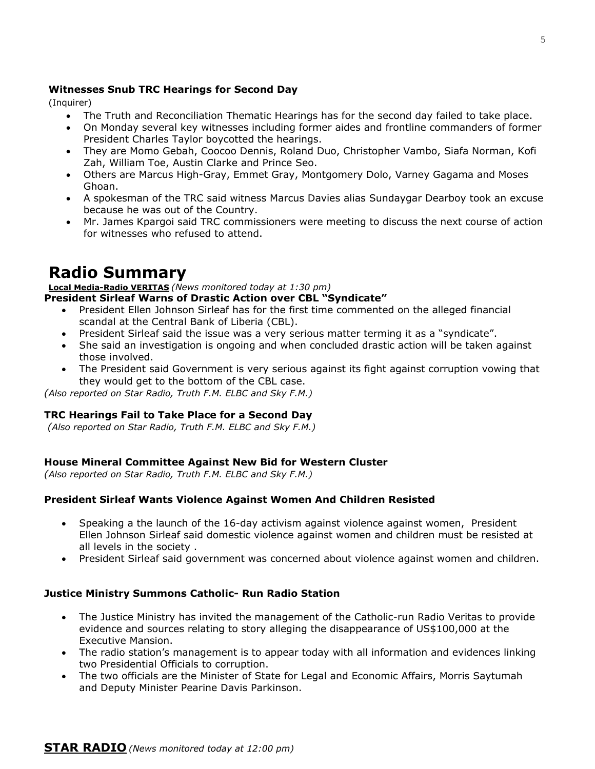#### **Witnesses Snub TRC Hearings for Second Day**

(Inquirer)

- The Truth and Reconciliation Thematic Hearings has for the second day failed to take place.
- On Monday several key witnesses including former aides and frontline commanders of former President Charles Taylor boycotted the hearings.
- They are Momo Gebah, Coocoo Dennis, Roland Duo, Christopher Vambo, Siafa Norman, Kofi Zah, William Toe, Austin Clarke and Prince Seo.
- Others are Marcus High-Gray, Emmet Gray, Montgomery Dolo, Varney Gagama and Moses Ghoan.
- A spokesman of the TRC said witness Marcus Davies alias Sundaygar Dearboy took an excuse because he was out of the Country.
- Mr. James Kpargoi said TRC commissioners were meeting to discuss the next course of action for witnesses who refused to attend.

### **Radio Summary**

#### **Local Media-Radio VERITAS** *(News monitored today at 1:30 pm)*

#### **President Sirleaf Warns of Drastic Action over CBL "Syndicate"**

- President Ellen Johnson Sirleaf has for the first time commented on the alleged financial scandal at the Central Bank of Liberia (CBL).
- President Sirleaf said the issue was a very serious matter terming it as a "syndicate".
- She said an investigation is ongoing and when concluded drastic action will be taken against those involved.
- The President said Government is very serious against its fight against corruption vowing that they would get to the bottom of the CBL case.

*(Also reported on Star Radio, Truth F.M. ELBC and Sky F.M.)* 

#### **TRC Hearings Fail to Take Place for a Second Day**

 *(Also reported on Star Radio, Truth F.M. ELBC and Sky F.M.)* 

#### **House Mineral Committee Against New Bid for Western Cluster**

*(Also reported on Star Radio, Truth F.M. ELBC and Sky F.M.)* 

#### **President Sirleaf Wants Violence Against Women And Children Resisted**

- Speaking a the launch of the 16-day activism against violence against women, President Ellen Johnson Sirleaf said domestic violence against women and children must be resisted at all levels in the society .
- President Sirleaf said government was concerned about violence against women and children.

#### **Justice Ministry Summons Catholic- Run Radio Station**

- The Justice Ministry has invited the management of the Catholic-run Radio Veritas to provide evidence and sources relating to story alleging the disappearance of US\$100,000 at the Executive Mansion.
- The radio station's management is to appear today with all information and evidences linking two Presidential Officials to corruption.
- The two officials are the Minister of State for Legal and Economic Affairs, Morris Saytumah and Deputy Minister Pearine Davis Parkinson.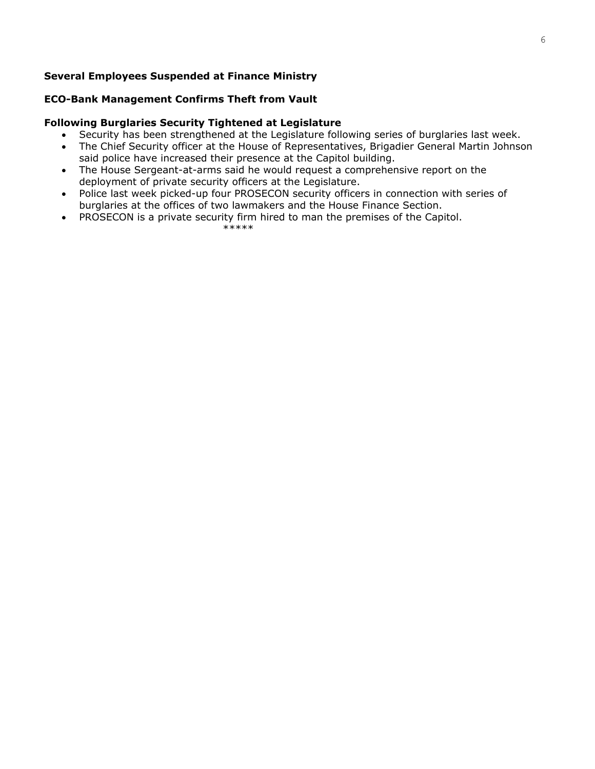#### **Several Employees Suspended at Finance Ministry**

#### **ECO-Bank Management Confirms Theft from Vault**

#### **Following Burglaries Security Tightened at Legislature**

- Security has been strengthened at the Legislature following series of burglaries last week.
- The Chief Security officer at the House of Representatives, Brigadier General Martin Johnson said police have increased their presence at the Capitol building.
- The House Sergeant-at-arms said he would request a comprehensive report on the deployment of private security officers at the Legislature.
- Police last week picked-up four PROSECON security officers in connection with series of burglaries at the offices of two lawmakers and the House Finance Section.
- PROSECON is a private security firm hired to man the premises of the Capitol.

\*\*\*\*\*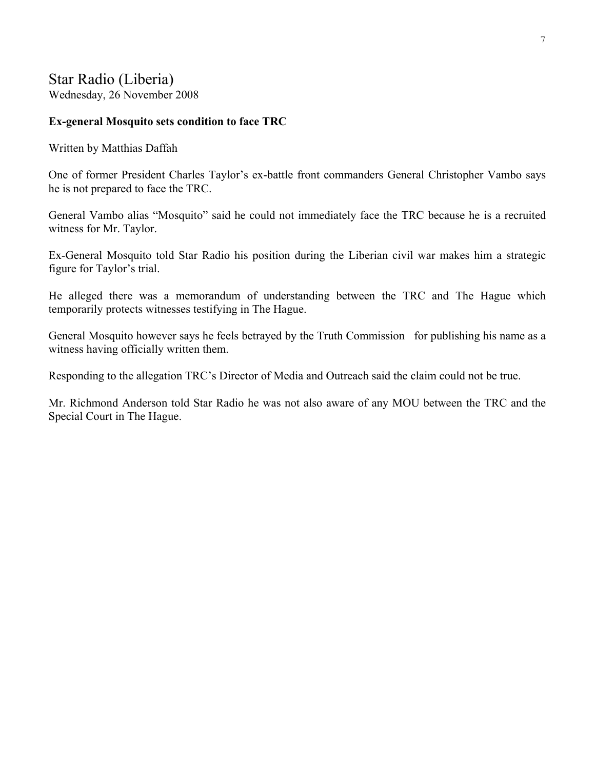#### Star Radio (Liberia) Wednesday, 26 November 2008

#### **Ex-general Mosquito sets condition to face TRC**

Written by Matthias Daffah

One of former President Charles Taylor's ex-battle front commanders General Christopher Vambo says he is not prepared to face the TRC.

General Vambo alias "Mosquito" said he could not immediately face the TRC because he is a recruited witness for Mr. Taylor.

Ex-General Mosquito told Star Radio his position during the Liberian civil war makes him a strategic figure for Taylor's trial.

He alleged there was a memorandum of understanding between the TRC and The Hague which temporarily protects witnesses testifying in The Hague.

General Mosquito however says he feels betrayed by the Truth Commission for publishing his name as a witness having officially written them.

Responding to the allegation TRC's Director of Media and Outreach said the claim could not be true.

Mr. Richmond Anderson told Star Radio he was not also aware of any MOU between the TRC and the Special Court in The Hague.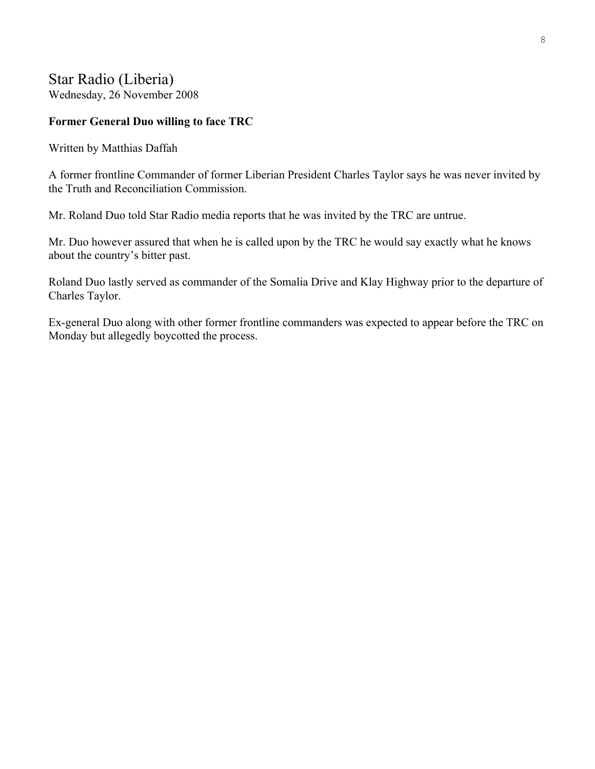#### Star Radio (Liberia) Wednesday, 26 November 2008

#### **Former General Duo willing to face TRC**

Written by Matthias Daffah

A former frontline Commander of former Liberian President Charles Taylor says he was never invited by the Truth and Reconciliation Commission.

Mr. Roland Duo told Star Radio media reports that he was invited by the TRC are untrue.

Mr. Duo however assured that when he is called upon by the TRC he would say exactly what he knows about the country's bitter past.

Roland Duo lastly served as commander of the Somalia Drive and Klay Highway prior to the departure of Charles Taylor.

Ex-general Duo along with other former frontline commanders was expected to appear before the TRC on Monday but allegedly boycotted the process.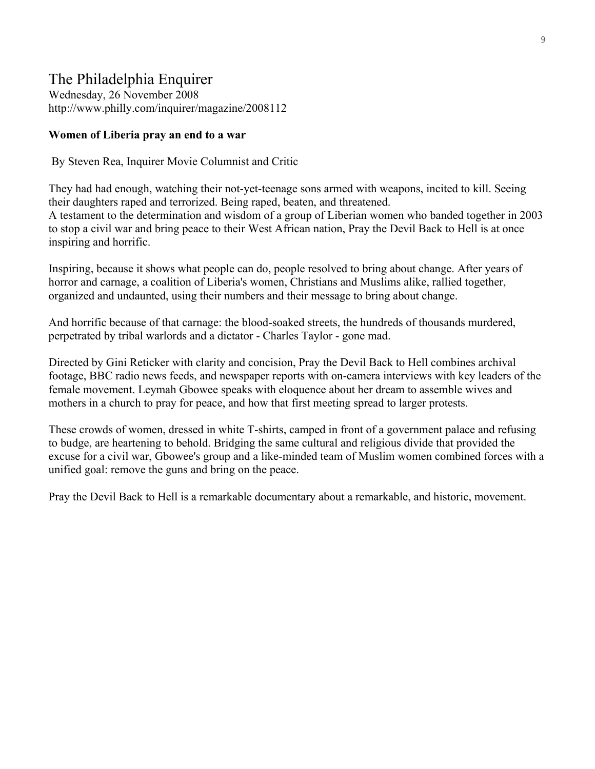#### The Philadelphia Enquirer

Wednesday, 26 November 2008 <http://www.philly.com/inquirer/magazine/2008112>

#### **Women of Liberia pray an end to a war**

By Steven Rea, Inquirer Movie Columnist and Critic

They had had enough, watching their not-yet-teenage sons armed with weapons, incited to kill. Seeing their daughters raped and terrorized. Being raped, beaten, and threatened. A testament to the determination and wisdom of a group of Liberian women who banded together in 2003 to stop a civil war and bring peace to their West African nation, Pray the Devil Back to Hell is at once inspiring and horrific.

Inspiring, because it shows what people can do, people resolved to bring about change. After years of horror and carnage, a coalition of Liberia's women, Christians and Muslims alike, rallied together, organized and undaunted, using their numbers and their message to bring about change.

And horrific because of that carnage: the blood-soaked streets, the hundreds of thousands murdered, perpetrated by tribal warlords and a dictator - Charles Taylor - gone mad.

Directed by Gini Reticker with clarity and concision, Pray the Devil Back to Hell combines archival footage, BBC radio news feeds, and newspaper reports with on-camera interviews with key leaders of the female movement. Leymah Gbowee speaks with eloquence about her dream to assemble wives and mothers in a church to pray for peace, and how that first meeting spread to larger protests.

These crowds of women, dressed in white T-shirts, camped in front of a government palace and refusing to budge, are heartening to behold. Bridging the same cultural and religious divide that provided the excuse for a civil war, Gbowee's group and a like-minded team of Muslim women combined forces with a unified goal: remove the guns and bring on the peace.

Pray the Devil Back to Hell is a remarkable documentary about a remarkable, and historic, movement.